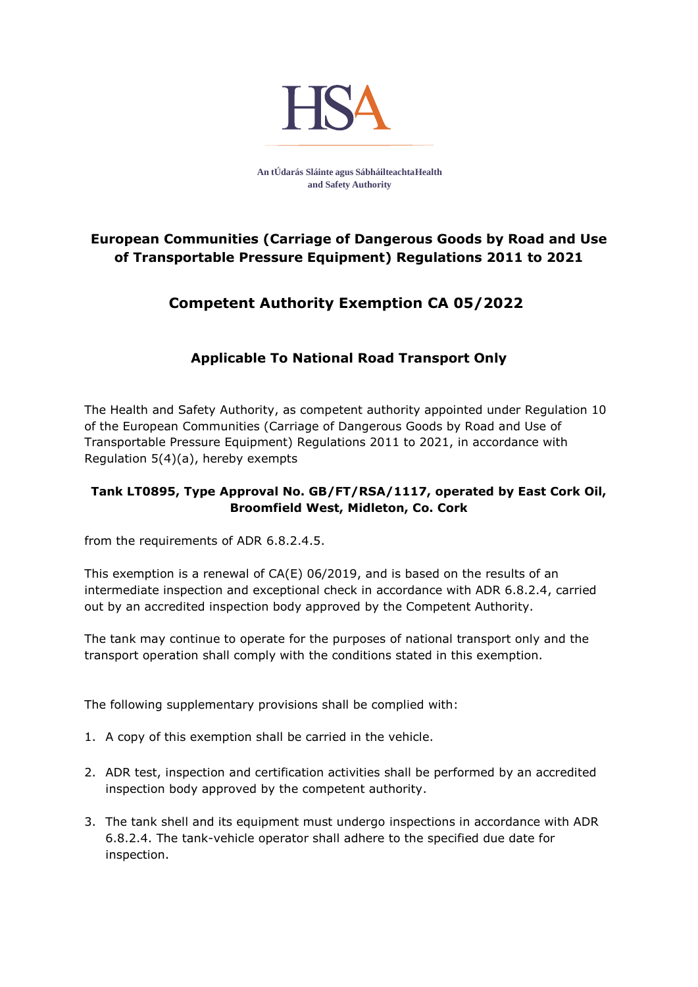

**An tÚdarás Sláinte agus SábháilteachtaHealth and Safety Authority**

## **European Communities (Carriage of Dangerous Goods by Road and Use of Transportable Pressure Equipment) Regulations 2011 to 2021**

## **Competent Authority Exemption CA 05/2022**

## **Applicable To National Road Transport Only**

The Health and Safety Authority, as competent authority appointed under Regulation 10 of the European Communities (Carriage of Dangerous Goods by Road and Use of Transportable Pressure Equipment) Regulations 2011 to 2021, in accordance with Regulation 5(4)(a), hereby exempts

## **Tank LT0895, Type Approval No. GB/FT/RSA/1117, operated by East Cork Oil, Broomfield West, Midleton, Co. Cork**

from the requirements of ADR 6.8.2.4.5.

This exemption is a renewal of CA(E) 06/2019, and is based on the results of an intermediate inspection and exceptional check in accordance with ADR 6.8.2.4, carried out by an accredited inspection body approved by the Competent Authority.

The tank may continue to operate for the purposes of national transport only and the transport operation shall comply with the conditions stated in this exemption.

The following supplementary provisions shall be complied with:

- 1. A copy of this exemption shall be carried in the vehicle.
- 2. ADR test, inspection and certification activities shall be performed by an accredited inspection body approved by the competent authority.
- 3. The tank shell and its equipment must undergo inspections in accordance with ADR 6.8.2.4. The tank-vehicle operator shall adhere to the specified due date for inspection.